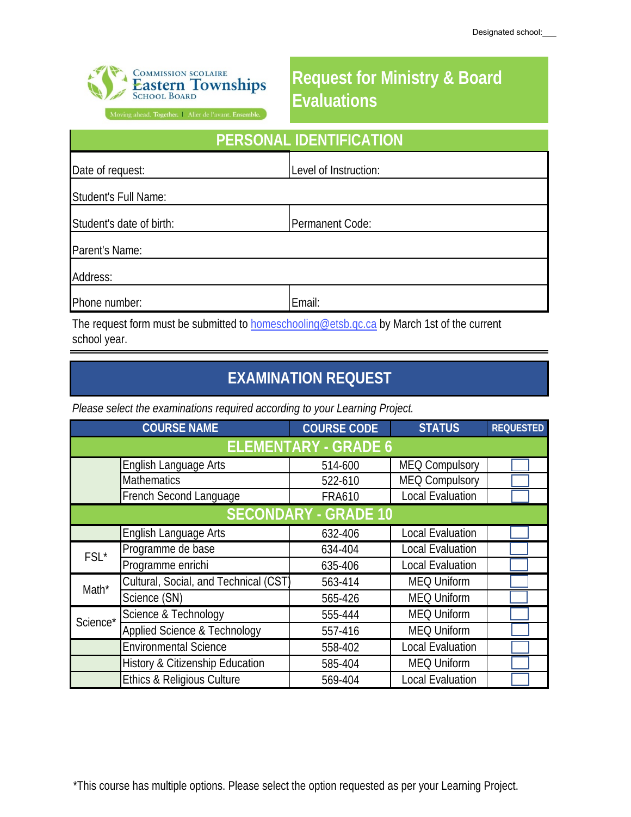

## **Request for Ministry & Board Evaluations**

Moving ahead. Together. | Aller de l'avant. Ensemble.

| PERSONAL IDENTIFICATION  |                       |  |  |
|--------------------------|-----------------------|--|--|
| Date of request:         | Level of Instruction: |  |  |
| Student's Full Name:     |                       |  |  |
| Student's date of birth: | Permanent Code:       |  |  |
| Parent's Name:           |                       |  |  |
| Address:                 |                       |  |  |
| Phone number:            | Email:                |  |  |

The request form must be submitted to homeschooling@etsb.qc.ca by March 1st of the current school year.

## **EXAMINATION REQUEST**

*Please select the examinations required according to your Learning Project.* 

|                             | <b>COURSE NAME</b>                      | <b>COURSE CODE</b> | <b>STATUS</b>           | <b>REQUESTED</b> |  |  |
|-----------------------------|-----------------------------------------|--------------------|-------------------------|------------------|--|--|
| <b>ELEMENTARY - GRADE 6</b> |                                         |                    |                         |                  |  |  |
|                             | English Language Arts                   | 514-600            | <b>MEQ Compulsory</b>   |                  |  |  |
|                             | Mathematics                             | 522-610            | <b>MEQ Compulsory</b>   |                  |  |  |
|                             | French Second Language                  | <b>FRA610</b>      | <b>Local Evaluation</b> |                  |  |  |
| <b>SECONDARY - GRADE 10</b> |                                         |                    |                         |                  |  |  |
|                             | English Language Arts                   | 632-406            | <b>Local Evaluation</b> |                  |  |  |
| $FSL^*$                     | Programme de base                       | 634-404            | <b>Local Evaluation</b> |                  |  |  |
|                             | Programme enrichi                       | 635-406            | <b>Local Evaluation</b> |                  |  |  |
| Math*                       | Cultural, Social, and Technical (CST    | 563-414            | <b>MEQ Uniform</b>      |                  |  |  |
|                             | Science (SN)                            | 565-426            | <b>MEQ Uniform</b>      |                  |  |  |
| Science*                    | Science & Technology                    | 555-444            | <b>MEQ Uniform</b>      |                  |  |  |
|                             | <b>Applied Science &amp; Technology</b> | 557-416            | <b>MEQ Uniform</b>      |                  |  |  |
|                             | <b>Environmental Science</b>            | 558-402            | <b>Local Evaluation</b> |                  |  |  |
|                             | History & Citizenship Education         | 585-404            | <b>MEQ Uniform</b>      |                  |  |  |
|                             | Ethics & Religious Culture              | 569-404            | <b>Local Evaluation</b> |                  |  |  |

\*This course has multiple options. Please select the option requested as per your Learning Project.